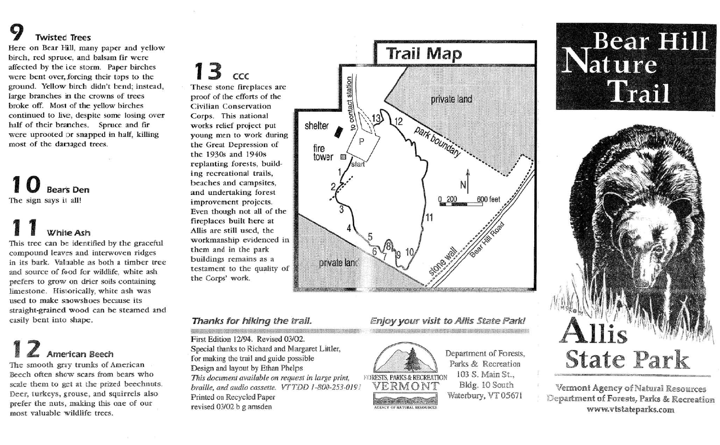# **9 Twisted Trees**

Here on Bear Hill, many paper and yellow birch, red spruce, and balsam fir were affected by the i.ce storm. Paper birches were bent over, forcing their tops to the ground. Yellow birch didn't bend; instead, large branches in the crowns of trees broke off. Mos1 of the yellow birches continued to live, despite some losing over half of their branches. Spruce and fir were uprooted or snapped in half, killing most of the damaged trees.

### 1**0 Bears Den** The sign says it all!

# White Ash

This tree can be identified by the graceful compound leaves and interwoven ridges in its bark. Valuable as both a timber tree and source of food for wildlife, white ash prefers to grow on drier soils containing limestone. Historically, white ash was used to make snowshoes because its straight-grained wood can be steamed and easily bent into shape.

# **4** American Beech

The smooth gray trunks of American Beech often show scars from bears who scale them to get at the prized beechnuts. Deer, turkeys, grouse, and squirrels also prefer the nuts, making this one of our most valuable wildlife trees.

## **13** ccc

the Corps' work.

These stone fireplaces are proof of the efforts of the Civilian Conservation Corps. This national works relief project put young men to work during the Great Depression of the 19308 and 1940s replanting forests, building recreational trails, beaches and campsites, and undertaking forest improvement projects. Even though not all of the fireplaces built here at Allis are still used, the workmanship evidenced in them and in the park buildings remains as a

First Edition *12/94.* Revised *03102.* Special thanks to Richard and Margaret Littler, for making the trail and guide possible Design and layout by Ethan Phelps *This document available on request in large print,* FORESTS, PARKS & RECREATION *braille, and audio cassette. VT TDD 1-800-253-0191*  $\forall$  **ERMONT** *braille, and audio cassette. VTTDD J-800-253-0J9}* VERM 0 NT *Praille, and audio cassette.*  $\overline{V}$   $\overline{L}$   $\overline{L}$   $\overline{D}$   $\overline{L}$   $\overline{C}$   $\overline{C}$   $\overline{C}$   $\overline{C}$   $\overline{D}$   $\overline{D}$   $\overline{L}$   $\overline{C}$   $\overline{C}$   $\overline{C}$   $\overline{C}$   $\overline{C}$   $\overline{C}$   $\overline{C}$   $\overline{C}$   $\overline{C}$  revised  $03/02$  b g amsden



#### *Thanks for hiking the trail. Enjoy your visit to Allis State Park!*



Department of Forests, Parks & Recreation 103 S. Main St., Bldg. 10 South Waterbury, VT 05671

# -Bear Hill Nature Thail



Vermont Agency of Natural Resources Department of Forests, Parks & Recreation www.vtstateparks.com